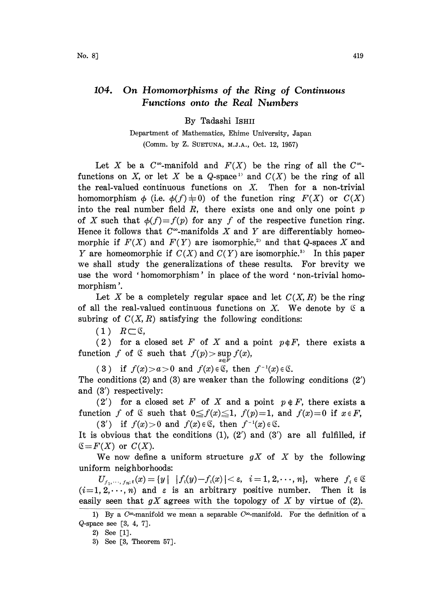## 104. On Homomorphisms of the Ring of Continuous Functions onto the Real Numbers

By Tadashi ISHII

Department of Mathematics, Ehime University, Japan (Comm. by Z. SUETUNA, M.J.A., Oct. 12, 1957)

Let X be a  $C^{\infty}$ -manifold and  $F(X)$  be the ring of all the  $C^{\infty}$ functions on X, or let X be a  $Q$ -space<sup>1</sup> and  $C(X)$  be the ring of all the real-valued continuous functions on  $X$ . Then for a non-trivial homomorphism  $\phi$  (i.e.  $\phi(f) \neq 0$ ) of the function ring  $F(X)$  or  $C(X)$ into the real number field  $R$ , there exists one and only one point  $p$ of X such that  $\phi(f)=f(p)$  for any f of the respective function ring. Hence it follows that  $C^{\infty}$ -manifolds X and Y are differentiably homeomorphic if  $F(X)$  and  $F(Y)$  are isomorphic,<sup>2</sup> and that Q-spaces X and Y are homeomorphic if  $C(X)$  and  $C(Y)$  are isomorphic.<sup>3</sup> In this paper we shall study the generalizations of these results. For brevity we use the word 'homomorphism' in place of the word 'non-trivial homomorphism '.

Let X be a completely regular space and let  $C(X, R)$  be the ring of all the real-valued continuous functions on X. We denote by  $\mathfrak S$  a subring of  $C(X, R)$  satisfying the following conditions:

 $(1)$   $R\subset\mathfrak{C}$ ,

(2) for a closed set F of X and a point  $p \notin F$ , there exists a function f of  $\mathfrak C$  such that  $f(p) > \sup_{x \in F} f(x)$ ,

(3) if  $f(x) > a > 0$  and  $f(x) \in \mathcal{C}$ , then  $f^{-1}(x) \in \mathcal{C}$ . The conditions (2) and (3) are weaker than the following conditions (2') and (3') respectively:

(2') for a closed set F of X and a point  $p \notin F$ , there exists a function f of  $\&$  such that  $0 \le f(x) \le 1$ ,  $f(p)=1$ , and  $f(x)=0$  if  $x \in F$ , (3') if  $f(x) > 0$  and  $f(x) \in \mathcal{E}$ , then  $f^{-1}(x) \in \mathcal{E}$ .

It is obvious that the conditions  $(1)$ ,  $(2')$  and  $(3')$  are all fulfilled, if  $\mathfrak{S} = F(X)$  or  $C(X)$ .

We now define a uniform structure  $gX$  of X by the following uniform neighborhoods:

 $U_{f_1,\dots,f_m;\epsilon}(x) = \{y \mid |f_i(y)-f_i(x)| < \epsilon, i = 1, 2,\dots, n\},\$  where  $f_i \in \mathfrak{S}$  $(i=1, 2, \dots, n)$  and  $\varepsilon$  is an arbitrary positive number. Then it is easily seen that  $gX$  agrees with the topology of X by virtue of (2).

<sup>1)</sup> By a  $C^{\infty}$ -manifold we mean a separable  $C^{\infty}$ -manifold. For the definition of a Q-space see [3, 4, 7].

<sup>2)</sup> See [1].

<sup>3)</sup> See [3, Theorem 57].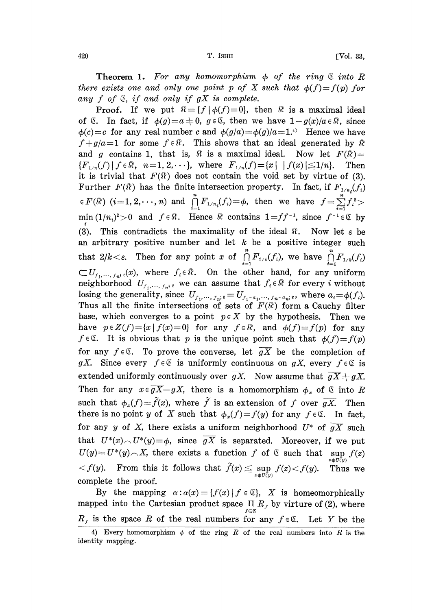**Theorem 1.** For any homomorphism  $\phi$  of the ring  $\&$  into R there exists one and only one point p of X such that  $\phi(f)=f(p)$  for any  $f$  of  $\mathfrak S$ , if and only if  $gX$  is complete.

**Proof.** If we put  $\mathbb{R} = \{f | \phi(f)=0\}$ , then  $\mathbb{R}$  is a maximal ideal of  $\mathfrak{C}$ . In fact, if  $\phi(g)=a\neq0$ ,  $g\in\mathfrak{C}$ , then we have  $1-g(x)/a\in\mathfrak{N}$ , since  $\phi(c)=c$  for any real number c and  $\phi(g/a)=\phi(g)/a=1$ .<sup>4)</sup> Hence we have  $f+g/a=1$  for some  $f \in \mathbb{R}$ . This shows that an ideal generated by  $\mathbb{R}$ and g contains 1, that is,  $\hat{\mathcal{R}}$  is a maximal ideal. Now let  $F(\hat{\mathcal{R}})$  =  ${F_{1/n}(f) | f \in \Re, n=1, 2, \cdots},$  where  $F_{1/n}(f) = \{x | | f(x)| \leq 1/n\}.$  Then it is trivial that  $F(\hat{x})$  does not contain the void set by virtue of (3). Further  $F(\mathfrak{K})$  has the finite intersection property. In fact, if  $F_{1/n_i}(f_i)$  $\in F(\Re)$   $(i=1,2,\cdots,n)$  and  $\bigcap\limits_{i=1}^{n}F_{1/n_i}(f_i) = \phi$ , then we have  $f = \sum\limits_{i=1}^{n}F_{n-i}$ min  $(1/n_i)^2 > 0$  and  $f \in \mathbb{R}$ . Hence  $\mathbb{R}$  contains  $1 = ff^{-1}$ , since  $f^{-1} \in \mathbb{C}$  by (3). This contradicts the maximality of the ideal  $\Re$ . Now let  $\varepsilon$  be an arbitrary positive number and let  $k$  be a positive integer such that  $2/k < \varepsilon$ . Then for any point x of  $\prod_{i=1}^{n} F_{1/k}(f_i)$ , we have  $\prod_{i=1}^{n} F_{1/k}(f_i)$  $\subset U_{f_1,\dots,f_n:\epsilon}(x)$ , where  $f_i \in \mathbb{R}$ . On the other hand, for any uniform neighborhood  $U_{f_1,\dots,f_n;\varepsilon}$  we can assume that  $f_i \in \mathbb{R}$  for every i without losing the generality, since  $U_{f_1,\dots,f_n:s} = U_{f_1-a_1,\dots,f_n-a_n:s}$ , where  $a_i = \phi(f_i)$ . Thus all the finite intersections of sets of  $F(\hat{\mathbb{R}})$  form a Cauchy filter base, which converges to a point  $p \in X$  by the hypothesis. Then we have  $p \in Z(f) = \{x \mid f(x) = 0\}$  for any  $f \in \mathbb{R}$ , and  $\phi(f) = f(p)$  for any  $f \in \mathfrak{C}$ . It is obvious that p is the unique point such that  $\phi(f)=f(p)$ for any  $f \in \mathfrak{C}$ . To prove the converse, let  $gX$  be the completion of gX. Since every  $f \in \mathcal{E}$  is uniformly continuous on gX, every  $f \in \mathcal{E}$  is extended uniformly continuously over  $g\overline{X}$ . Now assume that  $g\overline{X}+gX$ . Then for any  $x \in \overline{gX} - gX$ , there is a homomorphism  $\phi_x$  of  $\mathfrak C$  into R such that  $\phi_x(f)=\tilde{f}(x)$ , where  $\tilde{f}$  is an extension of f over  $\overline{gX}$ . Then there is no point y of X such that  $\phi_x(f)=f(y)$  for any  $f \in \mathfrak{C}$ . In fact, for any y of X, there exists a uniform neighborhood  $U^*$  of  $\overline{gX}$  such that  $U^*(x) \cap U^*(y) = \phi$ , since  $\overline{gX}$  is separated. Moreover, if we put  $U(y) = U^*(y) \cap X$ , there exists a function f of  $\mathcal{S}$  such that  $\sup_{z \in U(y)} f(z)$  $\langle f(y) \rangle$ . From this it follows that  $\widetilde{f}(x) \leq \sup_{z \in U(y)} f(z) \langle f(y) \rangle$ . Thus we complete the proof.

By the mapping  $\alpha : \alpha(x) = \{f(x) | f \in \mathbb{S}\}\$ , X is homeomorphically mapped into the Cartesian product space  $\prod_{f \in \mathcal{G}} R_f$  by virture of (2), where  $R_f$  is the space R of the real numbers for any  $f \in \mathfrak{C}$ . Let Y be the

<sup>4)</sup> Every homomorphism  $\phi$  of the ring R of the real numbers into R is the identity mapping.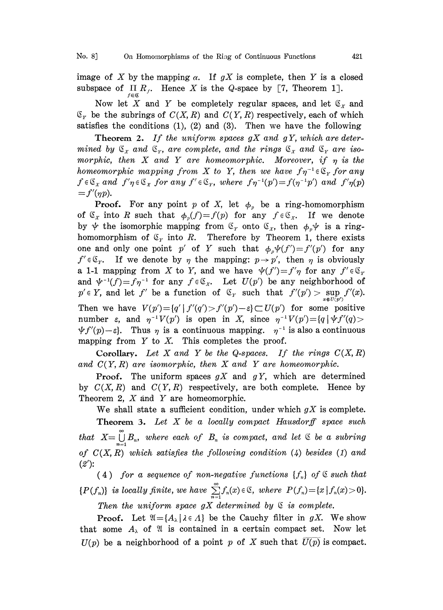No. 8] On Homomorphisms of the Ring of Continuous Functions 421

image of X by the mapping  $\alpha$ . If  $gX$  is complete, then Y is a closed subspace of  $\Pi R_f$ . Hence X is the Q-space by [7, Theorem 1].

Now let X and Y be completely regular spaces, and let  $\mathfrak{C}_x$  and  $\mathfrak{C}_r$  be the subrings of  $C(X, R)$  and  $C(Y, R)$  respectively, each of which satisfies the conditions  $(1)$ ,  $(2)$  and  $(3)$ . Then we have the following

**Theorem 2.** If the uniform spaces  $gX$  and  $gY$ , which are determined by  $\mathfrak{S}_x$  and  $\mathfrak{S}_r$ , are complete, and the rings  $\mathfrak{S}_x$  and  $\mathfrak{S}_r$  are isomorphic, then  $X$  and  $Y$  are homeomorphic. Moreover, if  $\eta$  is the homeomorphic mapping from X to Y, then we have  $f\eta^{-1} \in \mathfrak{S}_Y$  for any  $f \in \mathfrak{S}_x$  and  $f'\eta \in \mathfrak{S}_x$  for any  $f' \in \mathfrak{S}_x$ , where  $f\eta^{-1}(p')=f(\eta^{-1}p')$  and  $f'\eta(p)$  $=f'(\eta p).$ 

**Proof.** For any point p of X, let  $\phi_n$  be a ring-homomorphism of  $\mathfrak{C}_x$  into R such that  $\phi_p(f) = f(p)$  for any  $f \in \mathfrak{C}_x$ . If we denote<br>by  $\psi$  the isomorphic mapping from  $\mathfrak{C}_x$  onto  $\mathfrak{C}_x$ , then  $\phi_p \psi$  is a ringby  $\psi$  the isomorphic mapping from  $\mathfrak{C}_r$  onto  $\mathfrak{C}_x$ , then  $\phi_p \psi$  is a ring-<br>homomorphism of  $\mathfrak{C}_r$  into R. Therefore by Theorem 1, there exists one and only one point p' of Y such that  $\phi_n \psi(f') = f'(p')$  for any  $f' \in \mathfrak{S}_r$ . If we denote by  $\eta$  the mapping:  $p \to p'$ , then  $\eta$  is obviously a 1-1 mapping from X to Y, and we have  $\psi(f') = f'\eta$  for any  $f' \in \mathfrak{S}_r$ and  $\psi^{-1}(f)=f\eta^{-1}$  for any  $f\in\mathfrak{C}_x$ . Let  $U(p')$  be any neighborhood of  $p' \in Y$ , and let  $f'$  be a function of  $\mathfrak{C}_Y$  such that  $f'(p') > \sup_{x \in U(p')} f'(x)$ . Then we have  $V(p') = \{q' \mid f'(q') > f'(p') - \varepsilon\} \subset U(p')$  for some positive number  $\varepsilon$ , and  $\eta^{-1}V(p')$  is open in X, since  $\eta^{-1}V(p') = \{q \mid \psi f'(q) >$  $\psi f'(p) - \varepsilon$ . Thus  $\eta$  is a continuous mapping.  $\eta^{-1}$  is also a continuous mapping from  $Y$  to  $X$ . This completes the proof.

Corollary. Let X and Y be the Q-spaces. If the rings  $C(X, R)$ and  $C(Y, R)$  are isomorphic, then X and Y are homeomorphic.

**Proof.** The uniform spaces  $gX$  and  $gY$ , which are determined by  $C(X, R)$  and  $C(Y, R)$  respectively, are both complete. Hence by Theorem 2,  $X$  and  $Y$  are homeomorphic.

We shall state a sufficient condition, under which  $gX$  is complete. **Theorem 3.** Let  $X$  be a locally compact Hausdorff space such that  $X=\bigcup_{n=1}^{\infty} B_n$ , where each of  $B_n$  is compact, and let  $\&$  be a subring of  $C(X, R)$  which satisfies the following condition (4) besides (1) and  $(2')$ :

(4) for a sequence of non-negative functions  ${f_n}$  of  $\&$  such that  ${P(f_n)}$  is locally finite, we have  $\sum_{n=1}^{\infty} f_n(x) \in \mathbb{S}$ , where  $P(f_n) = \{x \mid f_n(x) > 0\}.$ 

Then the uniform space  $gX$  determined by  $\mathcal E$  is complete.

**Proof.** Let  $\mathfrak{A} = \{A_{\lambda} | \lambda \in \Lambda \}$  be the Cauchy filter in gX. We show that some  $A_{\lambda}$  of  $\mathfrak{A}$  is contained in a certain compact set. Now let  $U(p)$  be a neighborhood of a point p of X such that  $\overline{U(p)}$  is compact.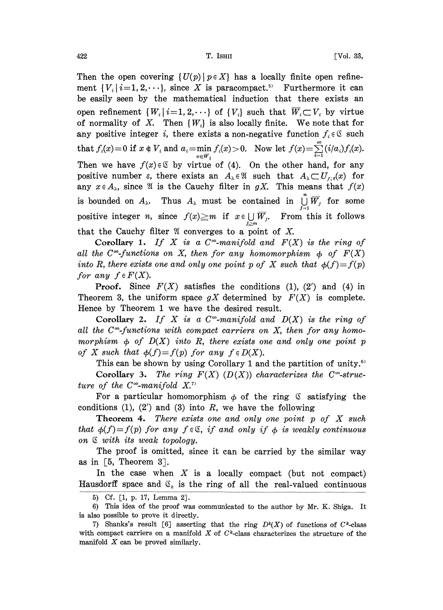Then the open covering  $\{U(p) | p \in X\}$  has a locally finite open refinement  ${V_i \mid i=1, 2, \cdots}$ , since X is paracompact.<sup>5</sup> Furthermore it can be easily seen by the mathematical induction that there exists an open refinement  $\{W_i | i=1, 2, \dots\}$  of  $\{V_i\}$  such that  $\overline{W}_i \subset V_i$  by virtue of normality of X. Then  $\{W_i\}$  is also locally finite. We note that for any positive integer i, there exists a non-negative function  $f_i \in \mathfrak{S}$  such that  $f_i(x) = 0$  if  $x \notin V_i$  and  $a_i = \min_{x \in \overline{W}_i} f_i(x) > 0$ . Now let  $f(x) = \sum_{i=1}^{\infty} (i/a_i) f_i(x)$ .<br>Then we have  $f(x) \in S$  by virtue of (4). On the other hand, for any  $i=1$ Then we have  $f(x) \in \mathcal{C}$  by virtue of (4). On the other hand, for any positive number  $\varepsilon$ , there exists an  $A_{\lambda} \in \mathfrak{A}$  such that  $A_{\lambda} \subset U_{f,g}(x)$  for any  $x \in A_\lambda$ , since  $\mathfrak A$  is the Cauchy filter in gX. This means that  $f(x)$ is bounded on  $A_{\lambda}$ . Thus  $A_{\lambda}$  must be contained in  $\bigcup_{j=1}^{n} \overline{W}_{j}$  for some positive integer *n*, since  $f(x) \ge m$  if  $x \in \bigcup_{j>m} \overline{W}_j$ . From this it follows that the Cauchy filter  $\mathfrak A$  converges to a point of X.

Corollary 1. If X is a  $C^{\infty}$ -manifold and  $F(X)$  is the ring of all the C<sup> $\infty$ </sup>-functions on X, then for any homomorphism  $\phi$  of  $F(X)$ into R, there exists one and only one point p of X such that  $\phi(f) = f(p)$ for any  $f \in F(X)$ .

**Proof.** Since  $F(X)$  satisfies the conditions (1), (2') and (4) in Theorem 3, the uniform space  $gX$  determined by  $F(X)$  is complete. Hence by Theorem <sup>1</sup> we have the desired result.

Corollary 2. If X is a  $C^{\infty}$ -manifold and  $D(X)$  is the ring of all the  $C^{\infty}$ -functions with compact carriers on X, then for any homomorphism  $\phi$  of  $D(X)$  into R, there exists one and only one point p of X such that  $\phi(f)=f(p)$  for any  $f \in D(X)$ .

This can be shown by using Corollary 1 and the partition of unity.<sup>67</sup> Corollary 3. The ring  $F(X)$  (D(X)) characterizes the C<sup>oo</sup>-struc-

ture of the C<sup> $\infty$ </sup>-manifold X.<sup>7</sup>

For a particular homomorphism  $\phi$  of the ring  $\mathfrak G$  satisfying the conditions (1), (2') and (3) into  $R$ , we have the following

**Theorem 4.** There exists one and only one point  $p$  of  $X$  such that  $\phi(f)=f(p)$  for any  $f \in \mathfrak{C}$ , if and only if  $\phi$  is weakly continuous on  $\&$  with its weak topology.

The proof is omitted, since it can be carried by the similar way as in  $\lceil 5$ , Theorem 3.

In the case when  $X$  is a locally compact (but not compact) Hausdorff space and  $\mathfrak{S}_k$  is the ring of all the real-valued continuous

<sup>5)</sup> cf. [1, p. 17, Lemma 2].

<sup>6)</sup> This idea of the proof was communicated to the author by Mr. K. Shiga. It is also possible to prove it directly.

<sup>7)</sup> Shanks's result [6] asserting that the ring  $D^k(X)$  of functions of C<sup>k</sup>-class with compact carriers on a manifold  $X$  of  $C^k$ -class characterizes the structure of the manifold  $X$  can be proved similarly.